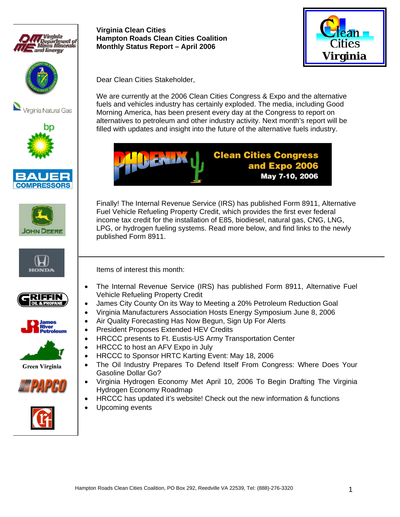



















**Green Virginia** 





**Virginia Clean Cities Hampton Roads Clean Cities Coalition Monthly Status Report – April 2006** 



Dear Clean Cities Stakeholder,

We are currently at the 2006 Clean Cities Congress & Expo and the alternative fuels and vehicles industry has certainly exploded. The media, including Good Morning America, has been present every day at the Congress to report on alternatives to petroleum and other industry activity. Next month's report will be filled with updates and insight into the future of the alternative fuels industry.



Finally! The Internal Revenue Service (IRS) has published Form 8911, Alternative Fuel Vehicle Refueling Property Credit, which provides the first ever federal income tax credit for the installation of E85, biodiesel, natural gas, CNG, LNG, LPG, or hydrogen fueling systems. Read more below, and find links to the newly published Form 8911.

Items of interest this month:

- The Internal Revenue Service (IRS) has published Form 8911, Alternative Fuel Vehicle Refueling Property Credit
- James City County On its Way to Meeting a 20% Petroleum Reduction Goal
- Virginia Manufacturers Association Hosts Energy Symposium June 8, 2006
- Air Quality Forecasting Has Now Begun, Sign Up For Alerts
- President Proposes Extended HEV Credits
- HRCCC presents to Ft. Eustis-US Army Transportation Center
- HRCCC to host an AFV Expo in July
- HRCCC to Sponsor HRTC Karting Event: May 18, 2006
- The Oil Industry Prepares To Defend Itself From Congress: Where Does Your Gasoline Dollar Go?
- Virginia Hydrogen Economy Met April 10, 2006 To Begin Drafting The Virginia Hydrogen Economy Roadmap
- HRCCC has updated it's website! Check out the new information & functions
- Upcoming events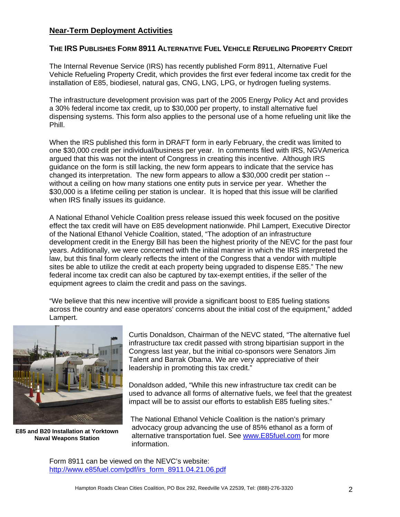## **Near-Term Deployment Activities**

### **THE IRS PUBLISHES FORM 8911 ALTERNATIVE FUEL VEHICLE REFUELING PROPERTY CREDIT**

The Internal Revenue Service (IRS) has recently published Form 8911, Alternative Fuel Vehicle Refueling Property Credit, which provides the first ever federal income tax credit for the installation of E85, biodiesel, natural gas, CNG, LNG, LPG, or hydrogen fueling systems.

The infrastructure development provision was part of the 2005 Energy Policy Act and provides a 30% federal income tax credit, up to \$30,000 per property, to install alternative fuel dispensing systems. This form also applies to the personal use of a home refueling unit like the Phill.

When the IRS published this form in DRAFT form in early February, the credit was limited to one \$30,000 credit per individual/business per year. In comments filed with IRS, NGVAmerica argued that this was not the intent of Congress in creating this incentive. Although IRS guidance on the form is still lacking, the new form appears to indicate that the service has changed its interpretation. The new form appears to allow a \$30,000 credit per station - without a ceiling on how many stations one entity puts in service per year. Whether the \$30,000 is a lifetime ceiling per station is unclear. It is hoped that this issue will be clarified when IRS finally issues its guidance.

A National Ethanol Vehicle Coalition press release issued this week focused on the positive effect the tax credit will have on E85 development nationwide. Phil Lampert, Executive Director of the National Ethanol Vehicle Coalition, stated, "The adoption of an infrastructure development credit in the Energy Bill has been the highest priority of the NEVC for the past four years. Additionally, we were concerned with the initial manner in which the IRS interpreted the law, but this final form clearly reflects the intent of the Congress that a vendor with multiple sites be able to utilize the credit at each property being upgraded to dispense E85." The new federal income tax credit can also be captured by tax-exempt entities, if the seller of the equipment agrees to claim the credit and pass on the savings.

"We believe that this new incentive will provide a significant boost to E85 fueling stations across the country and ease operators' concerns about the initial cost of the equipment," added Lampert.



**E85 and B20 Installation at Yorktown Naval Weapons Station** 

Curtis Donaldson, Chairman of the NEVC stated, "The alternative fuel infrastructure tax credit passed with strong bipartisian support in the Congress last year, but the initial co-sponsors were Senators Jim Talent and Barrak Obama. We are very appreciative of their leadership in promoting this tax credit."

Donaldson added, "While this new infrastructure tax credit can be used to advance all forms of alternative fuels, we feel that the greatest impact will be to assist our efforts to establish E85 fueling sites."

The National Ethanol Vehicle Coalition is the nation's primary advocacy group advancing the use of 85% ethanol as a form of alternative transportation fuel. See www.E85fuel.com for more information.

Form 8911 can be viewed on the NEVC's website: http://www.e85fuel.com/pdf/irs\_form\_8911.04.21.06.pdf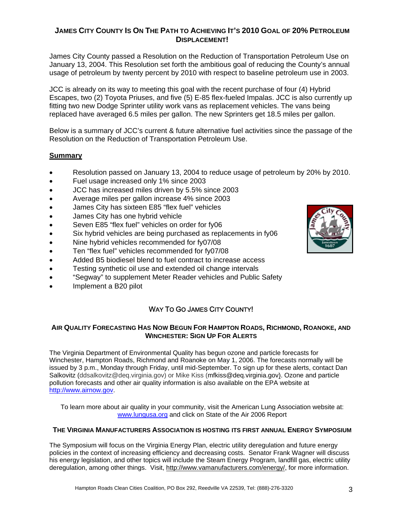## **JAMES CITY COUNTY IS ON THE PATH TO ACHIEVING IT'S 2010 GOAL OF 20% PETROLEUM DISPLACEMENT!**

James City County passed a Resolution on the Reduction of Transportation Petroleum Use on January 13, 2004. This Resolution set forth the ambitious goal of reducing the County's annual usage of petroleum by twenty percent by 2010 with respect to baseline petroleum use in 2003.

JCC is already on its way to meeting this goal with the recent purchase of four (4) Hybrid Escapes, two (2) Toyota Priuses, and five (5) E-85 flex-fueled Impalas. JCC is also currently up fitting two new Dodge Sprinter utility work vans as replacement vehicles. The vans being replaced have averaged 6.5 miles per gallon. The new Sprinters get 18.5 miles per gallon.

Below is a summary of JCC's current & future alternative fuel activities since the passage of the Resolution on the Reduction of Transportation Petroleum Use.

## **Summary**

- Resolution passed on January 13, 2004 to reduce usage of petroleum by 20% by 2010.
- Fuel usage increased only 1% since 2003
- JCC has increased miles driven by 5.5% since 2003
- Average miles per gallon increase 4% since 2003
- James City has sixteen E85 "flex fuel" vehicles
- James City has one hybrid vehicle
- Seven E85 "flex fuel" vehicles on order for fy06
- Six hybrid vehicles are being purchased as replacements in fy06
- Nine hybrid vehicles recommended for fy07/08
- Ten "flex fuel" vehicles recommended for fy07/08
- Added B5 biodiesel blend to fuel contract to increase access
- Testing synthetic oil use and extended oil change intervals
- "Segway" to supplement Meter Reader vehicles and Public Safety
- Implement a B20 pilot

# WAY TO GO JAMES CITY COUNTY!

#### **AIR QUALITY FORECASTING HAS NOW BEGUN FOR HAMPTON ROADS, RICHMOND, ROANOKE, AND WINCHESTER: SIGN UP FOR ALERTS**

The Virginia Department of Environmental Quality has begun ozone and particle forecasts for Winchester, Hampton Roads, Richmond and Roanoke on May 1, 2006. The forecasts normally will be issued by 3 p.m., Monday through Friday, until mid-September. To sign up for these alerts, contact Dan Salkovitz (ddsalkovitz@deq.virginia.gov) or Mike Kiss (mfkiss@deq.virginia.gov). Ozone and particle pollution forecasts and other air quality information is also available on the EPA website at http://www.airnow.gov.

To learn more about air quality in your community, visit the American Lung Association website at: www.lungusa.org and click on State of the Air 2006 Report

#### **THE VIRGINIA MANUFACTURERS ASSOCIATION IS HOSTING ITS FIRST ANNUAL ENERGY SYMPOSIUM**

The Symposium will focus on the Virginia Energy Plan, electric utility deregulation and future energy policies in the context of increasing efficiency and decreasing costs. Senator Frank Wagner will discuss his energy legislation, and other topics will include the Steam Energy Program, landfill gas, electric utility deregulation, among other things. Visit, http://www.vamanufacturers.com/energy/, for more information.

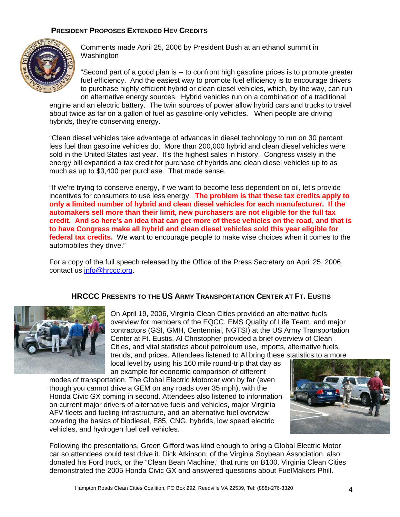## **PRESIDENT PROPOSES EXTENDED HEV CREDITS**



Comments made April 25, 2006 by President Bush at an ethanol summit in Washington

"Second part of a good plan is -- to confront high gasoline prices is to promote greater fuel efficiency. And the easiest way to promote fuel efficiency is to encourage drivers to purchase highly efficient hybrid or clean diesel vehicles, which, by the way, can run on alternative energy sources. Hybrid vehicles run on a combination of a traditional

engine and an electric battery. The twin sources of power allow hybrid cars and trucks to travel about twice as far on a gallon of fuel as gasoline-only vehicles. When people are driving hybrids, they're conserving energy.

"Clean diesel vehicles take advantage of advances in diesel technology to run on 30 percent less fuel than gasoline vehicles do. More than 200,000 hybrid and clean diesel vehicles were sold in the United States last year. It's the highest sales in history. Congress wisely in the energy bill expanded a tax credit for purchase of hybrids and clean diesel vehicles up to as much as up to \$3,400 per purchase. That made sense.

"If we're trying to conserve energy, if we want to become less dependent on oil, let's provide incentives for consumers to use less energy. **The problem is that these tax credits apply to only a limited number of hybrid and clean diesel vehicles for each manufacturer. If the automakers sell more than their limit, new purchasers are not eligible for the full tax credit. And so here's an idea that can get more of these vehicles on the road, and that is to have Congress make all hybrid and clean diesel vehicles sold this year eligible for federal tax credits.** We want to encourage people to make wise choices when it comes to the automobiles they drive."

For a copy of the full speech released by the Office of the Press Secretary on April 25, 2006, contact us info@hrccc.org.

## **HRCCC PRESENTS TO THE US ARMY TRANSPORTATION CENTER AT FT. EUSTIS**



On April 19, 2006, Virginia Clean Cities provided an alternative fuels overview for members of the EQCC, EMS Quality of Life Team, and major contractors (GSI, GMH, Centennial, NGTSI) at the US Army Transportation Center at Ft. Eustis. Al Christopher provided a brief overview of Clean Cities, and vital statistics about petroleum use, imports, alternative fuels, trends, and prices. Attendees listened to Al bring these statistics to a more local level by using his 160 mile round-trip that day as

an example for economic comparison of different modes of transportation. The Global Electric Motorcar won by far (even though you cannot drive a GEM on any roads over 35 mph), with the Honda Civic GX coming in second. Attendees also listened to information on current major drivers of alternative fuels and vehicles, major Virginia AFV fleets and fueling infrastructure, and an alternative fuel overview covering the basics of biodiesel, E85, CNG, hybrids, low speed electric vehicles, and hydrogen fuel cell vehicles.



Following the presentations, Green Gifford was kind enough to bring a Global Electric Motor car so attendees could test drive it. Dick Atkinson, of the Virginia Soybean Association, also donated his Ford truck, or the "Clean Bean Machine," that runs on B100. Virginia Clean Cities demonstrated the 2005 Honda Civic GX and answered questions about FuelMakers Phill.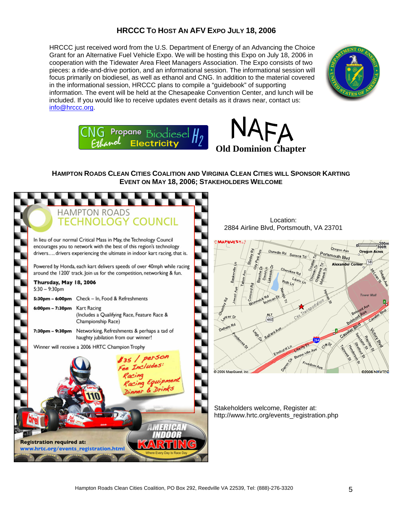## **HRCCC TO HOST AN AFV EXPO JULY 18, 2006**

HRCCC just received word from the U.S. Department of Energy of an Advancing the Choice Grant for an Alternative Fuel Vehicle Expo. We will be hosting this Expo on July 18, 2006 in cooperation with the Tidewater Area Fleet Managers Association. The Expo consists of two pieces: a ride-and-drive portion, and an informational session. The informational session will focus primarily on biodiesel, as well as ethanol and CNG. In addition to the material covered in the informational session, HRCCC plans to compile a "guidebook" of supporting information. The event will be held at the Chesapeake Convention Center, and lunch will be included. If you would like to receive updates event details as it draws near, contact us: info@hrccc.org.







### **HAMPTON ROADS CLEAN CITIES COALITION AND VIRGINIA CLEAN CITIES WILL SPONSOR KARTING EVENT ON MAY 18, 2006; STAKEHOLDERS WELCOME**

|                                                                           |                                                                                                                                                  | <b>HAMPTON ROADS</b><br><b>TECHNOLOGY COUNCIL</b>                                                                                                                                                                      |  |  |
|---------------------------------------------------------------------------|--------------------------------------------------------------------------------------------------------------------------------------------------|------------------------------------------------------------------------------------------------------------------------------------------------------------------------------------------------------------------------|--|--|
|                                                                           |                                                                                                                                                  | In lieu of our normal Critical Mass in May, the Technology Council<br>encourages you to network with the best of this region's technology<br>drivers drivers experiencing the ultimate in indoor kart racing, that is. |  |  |
|                                                                           | Powered by Honda, each kart delivers speeds of over 40mph while racing<br>around the 1200' track. Join us for the competition, networking & fun. |                                                                                                                                                                                                                        |  |  |
|                                                                           | Thursday, May 18, 2006<br>$5:30 - 9:30$ pm                                                                                                       |                                                                                                                                                                                                                        |  |  |
|                                                                           | 5:30pm – 6:00pm                                                                                                                                  | Check - In, Food & Refreshments                                                                                                                                                                                        |  |  |
|                                                                           | 6:00pm - 7:30pm                                                                                                                                  | <b>Kart Racing</b><br>(Includes a Qualifying Race, Feature Race &<br>Championship Race)                                                                                                                                |  |  |
|                                                                           | 7:30pm - 9:30pm                                                                                                                                  | Networking, Refreshments & perhaps a tad of<br>haughty jubilation from our winner!                                                                                                                                     |  |  |
|                                                                           |                                                                                                                                                  | Winner will receive a 2006 HRTC Champion Trophy                                                                                                                                                                        |  |  |
|                                                                           |                                                                                                                                                  | \$35 / person<br>Fee Includes:<br>Racing<br>Racing Equipment<br>Dinner & Drinks                                                                                                                                        |  |  |
| <b>Registration required at:</b><br>www.hrtc.org/events_registration.html |                                                                                                                                                  |                                                                                                                                                                                                                        |  |  |
| Where Every Day is Race Da                                                |                                                                                                                                                  |                                                                                                                                                                                                                        |  |  |

Location: 2884 Airline Blvd, Portsmouth, VA 23701



Stakeholders welcome, Register at: http://www.hrtc.org/events\_registration.php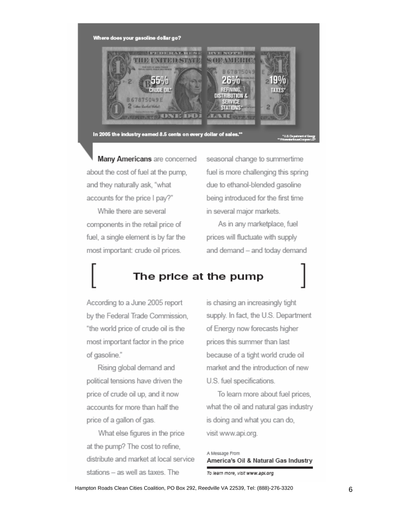

Many Americans are concerned about the cost of fuel at the pump. and they naturally ask, "what accounts for the price I pay?"

While there are several components in the retail price of fuel, a single element is by far the most important: crude oil prices.

seasonal change to summertime fuel is more challenging this spring due to ethanol-blended gasoline being introduced for the first time in several major markets.

As in any marketplace, fuel prices will fluctuate with supply and demand - and today demand

# The price at the pump

According to a June 2005 report by the Federal Trade Commission, "the world price of crude oil is the most important factor in the price of gasoline."

Rising global demand and political tensions have driven the price of crude oil up, and it now accounts for more than half the price of a gallon of gas.

What else figures in the price at the pump? The cost to refine. distribute and market at local service stations - as well as taxes. The

is chasing an increasingly tight supply. In fact, the U.S. Department of Energy now forecasts higher prices this summer than last because of a tight world crude oil market and the introduction of new U.S. fuel specifications.

To learn more about fuel prices, what the oil and natural gas industry is doing and what you can do, visit www.api.org.

A Message From America's Oil & Natural Gas Industry

To learn more, visit www.api.org